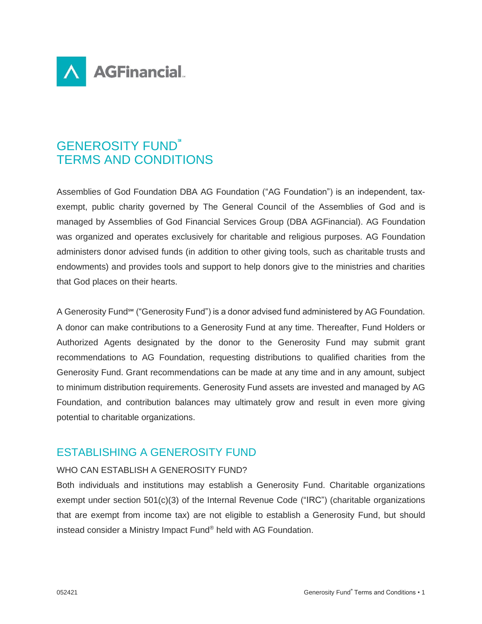

# GENEROSITY FUND℠ TERMS AND CONDITIONS

Assemblies of God Foundation DBA AG Foundation ("AG Foundation") is an independent, taxexempt, public charity governed by The General Council of the Assemblies of God and is managed by Assemblies of God Financial Services Group (DBA AGFinancial). AG Foundation was organized and operates exclusively for charitable and religious purposes. AG Foundation administers donor advised funds (in addition to other giving tools, such as charitable trusts and endowments) and provides tools and support to help donors give to the ministries and charities that God places on their hearts.

A Generosity Fund℠ ("Generosity Fund") is a donor advised fund administered by AG Foundation. A donor can make contributions to a Generosity Fund at any time. Thereafter, Fund Holders or Authorized Agents designated by the donor to the Generosity Fund may submit grant recommendations to AG Foundation, requesting distributions to qualified charities from the Generosity Fund. Grant recommendations can be made at any time and in any amount, subject to minimum distribution requirements. Generosity Fund assets are invested and managed by AG Foundation, and contribution balances may ultimately grow and result in even more giving potential to charitable organizations.

## ESTABLISHING A GENEROSITY FUND

### WHO CAN ESTABLISH A GENEROSITY FUND?

Both individuals and institutions may establish a Generosity Fund. Charitable organizations exempt under section 501(c)(3) of the Internal Revenue Code ("IRC") (charitable organizations that are exempt from income tax) are not eligible to establish a Generosity Fund, but should instead consider a Ministry Impact Fund® held with AG Foundation.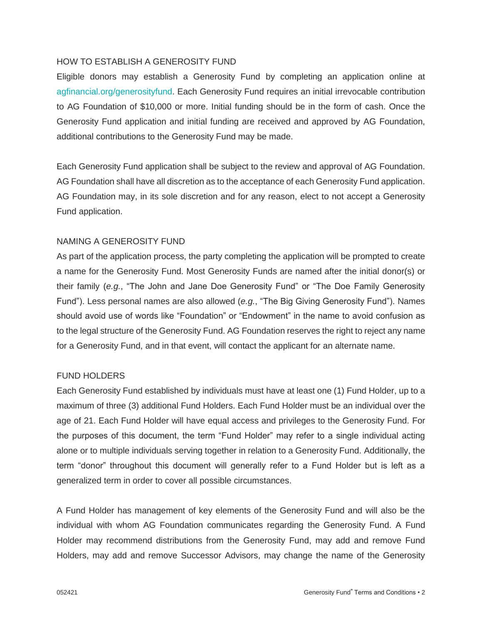### HOW TO ESTABLISH A GENEROSITY FUND

Eligible donors may establish a Generosity Fund by completing an application online at agfinancial.org/generosityfund. Each Generosity Fund requires an initial irrevocable contribution to AG Foundation of \$10,000 or more. Initial funding should be in the form of cash. Once the Generosity Fund application and initial funding are received and approved by AG Foundation, additional contributions to the Generosity Fund may be made.

Each Generosity Fund application shall be subject to the review and approval of AG Foundation. AG Foundation shall have all discretion as to the acceptance of each Generosity Fund application. AG Foundation may, in its sole discretion and for any reason, elect to not accept a Generosity Fund application.

### NAMING A GENEROSITY FUND

As part of the application process, the party completing the application will be prompted to create a name for the Generosity Fund. Most Generosity Funds are named after the initial donor(s) or their family (*e.g.*, "The John and Jane Doe Generosity Fund" or "The Doe Family Generosity Fund"). Less personal names are also allowed (*e.g.*, "The Big Giving Generosity Fund"). Names should avoid use of words like "Foundation" or "Endowment" in the name to avoid confusion as to the legal structure of the Generosity Fund. AG Foundation reserves the right to reject any name for a Generosity Fund, and in that event, will contact the applicant for an alternate name.

### FUND HOLDERS

Each Generosity Fund established by individuals must have at least one (1) Fund Holder, up to a maximum of three (3) additional Fund Holders. Each Fund Holder must be an individual over the age of 21. Each Fund Holder will have equal access and privileges to the Generosity Fund. For the purposes of this document, the term "Fund Holder" may refer to a single individual acting alone or to multiple individuals serving together in relation to a Generosity Fund. Additionally, the term "donor" throughout this document will generally refer to a Fund Holder but is left as a generalized term in order to cover all possible circumstances.

A Fund Holder has management of key elements of the Generosity Fund and will also be the individual with whom AG Foundation communicates regarding the Generosity Fund. A Fund Holder may recommend distributions from the Generosity Fund, may add and remove Fund Holders, may add and remove Successor Advisors, may change the name of the Generosity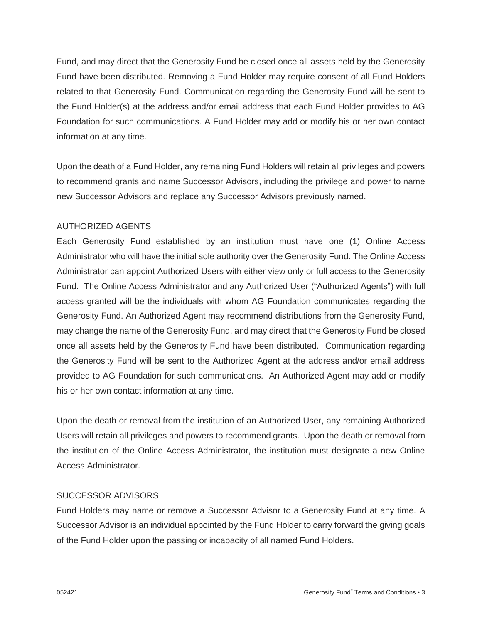Fund, and may direct that the Generosity Fund be closed once all assets held by the Generosity Fund have been distributed. Removing a Fund Holder may require consent of all Fund Holders related to that Generosity Fund. Communication regarding the Generosity Fund will be sent to the Fund Holder(s) at the address and/or email address that each Fund Holder provides to AG Foundation for such communications. A Fund Holder may add or modify his or her own contact information at any time.

Upon the death of a Fund Holder, any remaining Fund Holders will retain all privileges and powers to recommend grants and name Successor Advisors, including the privilege and power to name new Successor Advisors and replace any Successor Advisors previously named.

### AUTHORIZED AGENTS

Each Generosity Fund established by an institution must have one (1) Online Access Administrator who will have the initial sole authority over the Generosity Fund. The Online Access Administrator can appoint Authorized Users with either view only or full access to the Generosity Fund. The Online Access Administrator and any Authorized User ("Authorized Agents") with full access granted will be the individuals with whom AG Foundation communicates regarding the Generosity Fund. An Authorized Agent may recommend distributions from the Generosity Fund, may change the name of the Generosity Fund, and may direct that the Generosity Fund be closed once all assets held by the Generosity Fund have been distributed. Communication regarding the Generosity Fund will be sent to the Authorized Agent at the address and/or email address provided to AG Foundation for such communications. An Authorized Agent may add or modify his or her own contact information at any time.

Upon the death or removal from the institution of an Authorized User, any remaining Authorized Users will retain all privileges and powers to recommend grants. Upon the death or removal from the institution of the Online Access Administrator, the institution must designate a new Online Access Administrator.

### SUCCESSOR ADVISORS

Fund Holders may name or remove a Successor Advisor to a Generosity Fund at any time. A Successor Advisor is an individual appointed by the Fund Holder to carry forward the giving goals of the Fund Holder upon the passing or incapacity of all named Fund Holders.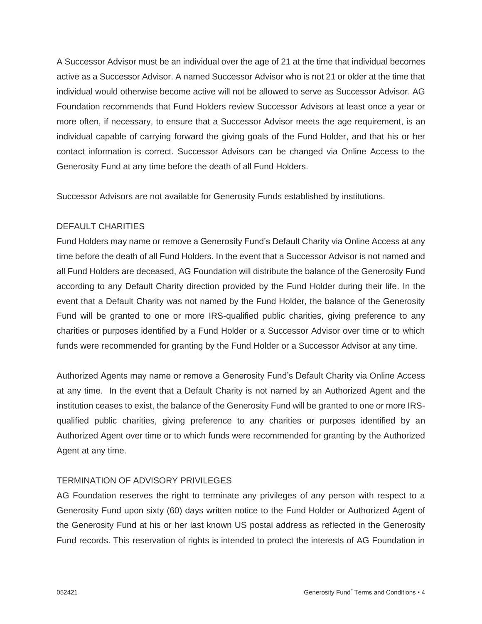A Successor Advisor must be an individual over the age of 21 at the time that individual becomes active as a Successor Advisor. A named Successor Advisor who is not 21 or older at the time that individual would otherwise become active will not be allowed to serve as Successor Advisor. AG Foundation recommends that Fund Holders review Successor Advisors at least once a year or more often, if necessary, to ensure that a Successor Advisor meets the age requirement, is an individual capable of carrying forward the giving goals of the Fund Holder, and that his or her contact information is correct. Successor Advisors can be changed via Online Access to the Generosity Fund at any time before the death of all Fund Holders.

Successor Advisors are not available for Generosity Funds established by institutions.

## DEFAULT CHARITIES

Fund Holders may name or remove a Generosity Fund's Default Charity via Online Access at any time before the death of all Fund Holders. In the event that a Successor Advisor is not named and all Fund Holders are deceased, AG Foundation will distribute the balance of the Generosity Fund according to any Default Charity direction provided by the Fund Holder during their life. In the event that a Default Charity was not named by the Fund Holder, the balance of the Generosity Fund will be granted to one or more IRS-qualified public charities, giving preference to any charities or purposes identified by a Fund Holder or a Successor Advisor over time or to which funds were recommended for granting by the Fund Holder or a Successor Advisor at any time.

Authorized Agents may name or remove a Generosity Fund's Default Charity via Online Access at any time. In the event that a Default Charity is not named by an Authorized Agent and the institution ceases to exist, the balance of the Generosity Fund will be granted to one or more IRSqualified public charities, giving preference to any charities or purposes identified by an Authorized Agent over time or to which funds were recommended for granting by the Authorized Agent at any time.

### TERMINATION OF ADVISORY PRIVILEGES

AG Foundation reserves the right to terminate any privileges of any person with respect to a Generosity Fund upon sixty (60) days written notice to the Fund Holder or Authorized Agent of the Generosity Fund at his or her last known US postal address as reflected in the Generosity Fund records. This reservation of rights is intended to protect the interests of AG Foundation in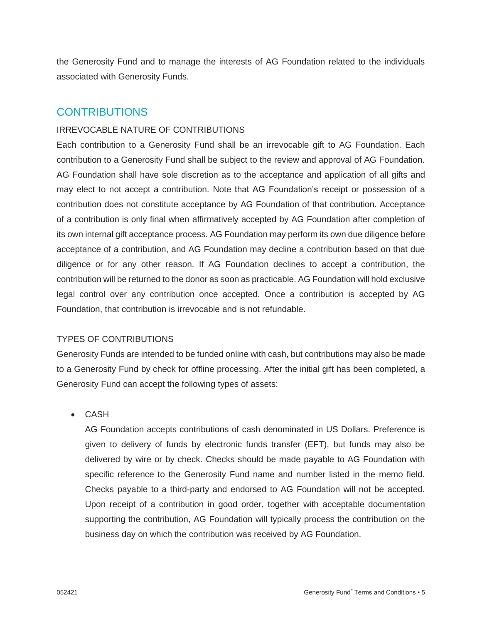the Generosity Fund and to manage the interests of AG Foundation related to the individuals associated with Generosity Funds.

## **CONTRIBUTIONS**

## IRREVOCABLE NATURE OF CONTRIBUTIONS

Each contribution to a Generosity Fund shall be an irrevocable gift to AG Foundation. Each contribution to a Generosity Fund shall be subject to the review and approval of AG Foundation. AG Foundation shall have sole discretion as to the acceptance and application of all gifts and may elect to not accept a contribution. Note that AG Foundation's receipt or possession of a contribution does not constitute acceptance by AG Foundation of that contribution. Acceptance of a contribution is only final when affirmatively accepted by AG Foundation after completion of its own internal gift acceptance process. AG Foundation may perform its own due diligence before acceptance of a contribution, and AG Foundation may decline a contribution based on that due diligence or for any other reason. If AG Foundation declines to accept a contribution, the contribution will be returned to the donor as soon as practicable. AG Foundation will hold exclusive legal control over any contribution once accepted. Once a contribution is accepted by AG Foundation, that contribution is irrevocable and is not refundable.

## TYPES OF CONTRIBUTIONS

Generosity Funds are intended to be funded online with cash, but contributions may also be made to a Generosity Fund by check for offline processing. After the initial gift has been completed, a Generosity Fund can accept the following types of assets:

• CASH

AG Foundation accepts contributions of cash denominated in US Dollars. Preference is given to delivery of funds by electronic funds transfer (EFT), but funds may also be delivered by wire or by check. Checks should be made payable to AG Foundation with specific reference to the Generosity Fund name and number listed in the memo field. Checks payable to a third-party and endorsed to AG Foundation will not be accepted. Upon receipt of a contribution in good order, together with acceptable documentation supporting the contribution, AG Foundation will typically process the contribution on the business day on which the contribution was received by AG Foundation.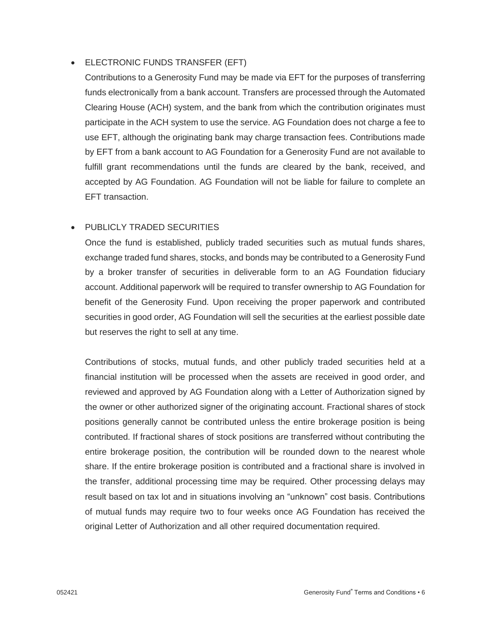## • ELECTRONIC FUNDS TRANSFER (EFT)

Contributions to a Generosity Fund may be made via EFT for the purposes of transferring funds electronically from a bank account. Transfers are processed through the Automated Clearing House (ACH) system, and the bank from which the contribution originates must participate in the ACH system to use the service. AG Foundation does not charge a fee to use EFT, although the originating bank may charge transaction fees. Contributions made by EFT from a bank account to AG Foundation for a Generosity Fund are not available to fulfill grant recommendations until the funds are cleared by the bank, received, and accepted by AG Foundation. AG Foundation will not be liable for failure to complete an EFT transaction.

## • PUBLICLY TRADED SECURITIES

Once the fund is established, publicly traded securities such as mutual funds shares, exchange traded fund shares, stocks, and bonds may be contributed to a Generosity Fund by a broker transfer of securities in deliverable form to an AG Foundation fiduciary account. Additional paperwork will be required to transfer ownership to AG Foundation for benefit of the Generosity Fund. Upon receiving the proper paperwork and contributed securities in good order, AG Foundation will sell the securities at the earliest possible date but reserves the right to sell at any time.

Contributions of stocks, mutual funds, and other publicly traded securities held at a financial institution will be processed when the assets are received in good order, and reviewed and approved by AG Foundation along with a Letter of Authorization signed by the owner or other authorized signer of the originating account. Fractional shares of stock positions generally cannot be contributed unless the entire brokerage position is being contributed. If fractional shares of stock positions are transferred without contributing the entire brokerage position, the contribution will be rounded down to the nearest whole share. If the entire brokerage position is contributed and a fractional share is involved in the transfer, additional processing time may be required. Other processing delays may result based on tax lot and in situations involving an "unknown" cost basis. Contributions of mutual funds may require two to four weeks once AG Foundation has received the original Letter of Authorization and all other required documentation required.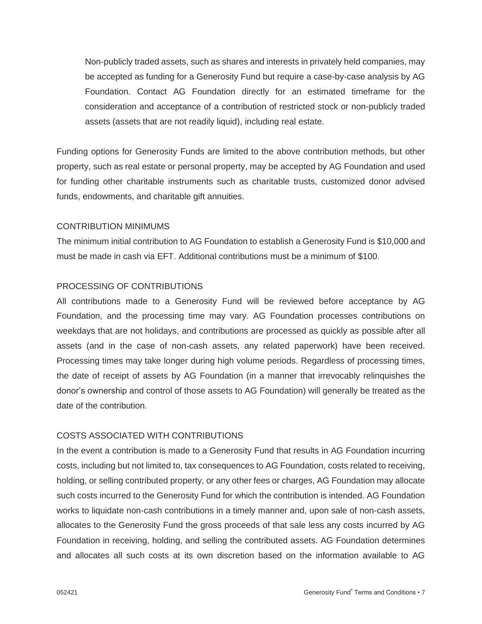Non-publicly traded assets, such as shares and interests in privately held companies, may be accepted as funding for a Generosity Fund but require a case-by-case analysis by AG Foundation. Contact AG Foundation directly for an estimated timeframe for the consideration and acceptance of a contribution of restricted stock or non-publicly traded assets (assets that are not readily liquid), including real estate.

Funding options for Generosity Funds are limited to the above contribution methods, but other property, such as real estate or personal property, may be accepted by AG Foundation and used for funding other charitable instruments such as charitable trusts, customized donor advised funds, endowments, and charitable gift annuities.

#### CONTRIBUTION MINIMUMS

The minimum initial contribution to AG Foundation to establish a Generosity Fund is \$10,000 and must be made in cash via EFT. Additional contributions must be a minimum of \$100.

### PROCESSING OF CONTRIBUTIONS

All contributions made to a Generosity Fund will be reviewed before acceptance by AG Foundation, and the processing time may vary. AG Foundation processes contributions on weekdays that are not holidays, and contributions are processed as quickly as possible after all assets (and in the case of non-cash assets, any related paperwork) have been received. Processing times may take longer during high volume periods. Regardless of processing times, the date of receipt of assets by AG Foundation (in a manner that irrevocably relinquishes the donor's ownership and control of those assets to AG Foundation) will generally be treated as the date of the contribution.

### COSTS ASSOCIATED WITH CONTRIBUTIONS

In the event a contribution is made to a Generosity Fund that results in AG Foundation incurring costs, including but not limited to, tax consequences to AG Foundation, costs related to receiving, holding, or selling contributed property, or any other fees or charges, AG Foundation may allocate such costs incurred to the Generosity Fund for which the contribution is intended. AG Foundation works to liquidate non-cash contributions in a timely manner and, upon sale of non-cash assets, allocates to the Generosity Fund the gross proceeds of that sale less any costs incurred by AG Foundation in receiving, holding, and selling the contributed assets. AG Foundation determines and allocates all such costs at its own discretion based on the information available to AG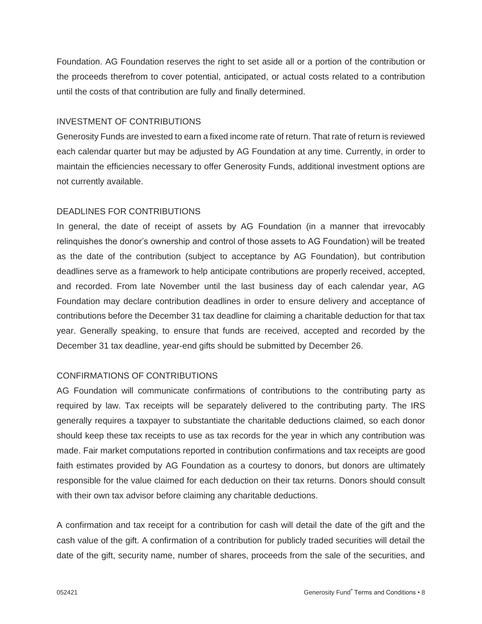Foundation. AG Foundation reserves the right to set aside all or a portion of the contribution or the proceeds therefrom to cover potential, anticipated, or actual costs related to a contribution until the costs of that contribution are fully and finally determined.

## INVESTMENT OF CONTRIBUTIONS

Generosity Funds are invested to earn a fixed income rate of return. That rate of return is reviewed each calendar quarter but may be adjusted by AG Foundation at any time. Currently, in order to maintain the efficiencies necessary to offer Generosity Funds, additional investment options are not currently available.

## DEADLINES FOR CONTRIBUTIONS

In general, the date of receipt of assets by AG Foundation (in a manner that irrevocably relinquishes the donor's ownership and control of those assets to AG Foundation) will be treated as the date of the contribution (subject to acceptance by AG Foundation), but contribution deadlines serve as a framework to help anticipate contributions are properly received, accepted, and recorded. From late November until the last business day of each calendar year, AG Foundation may declare contribution deadlines in order to ensure delivery and acceptance of contributions before the December 31 tax deadline for claiming a charitable deduction for that tax year. Generally speaking, to ensure that funds are received, accepted and recorded by the December 31 tax deadline, year-end gifts should be submitted by December 26.

## CONFIRMATIONS OF CONTRIBUTIONS

AG Foundation will communicate confirmations of contributions to the contributing party as required by law. Tax receipts will be separately delivered to the contributing party. The IRS generally requires a taxpayer to substantiate the charitable deductions claimed, so each donor should keep these tax receipts to use as tax records for the year in which any contribution was made. Fair market computations reported in contribution confirmations and tax receipts are good faith estimates provided by AG Foundation as a courtesy to donors, but donors are ultimately responsible for the value claimed for each deduction on their tax returns. Donors should consult with their own tax advisor before claiming any charitable deductions.

A confirmation and tax receipt for a contribution for cash will detail the date of the gift and the cash value of the gift. A confirmation of a contribution for publicly traded securities will detail the date of the gift, security name, number of shares, proceeds from the sale of the securities, and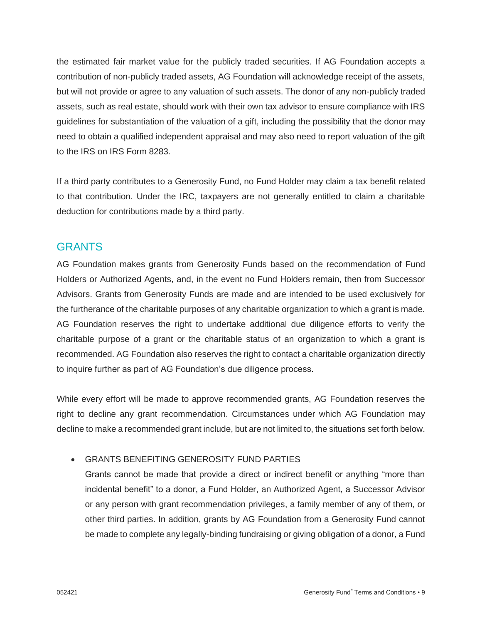the estimated fair market value for the publicly traded securities. If AG Foundation accepts a contribution of non-publicly traded assets, AG Foundation will acknowledge receipt of the assets, but will not provide or agree to any valuation of such assets. The donor of any non-publicly traded assets, such as real estate, should work with their own tax advisor to ensure compliance with IRS guidelines for substantiation of the valuation of a gift, including the possibility that the donor may need to obtain a qualified independent appraisal and may also need to report valuation of the gift to the IRS on IRS Form 8283.

If a third party contributes to a Generosity Fund, no Fund Holder may claim a tax benefit related to that contribution. Under the IRC, taxpayers are not generally entitled to claim a charitable deduction for contributions made by a third party.

## **GRANTS**

AG Foundation makes grants from Generosity Funds based on the recommendation of Fund Holders or Authorized Agents, and, in the event no Fund Holders remain, then from Successor Advisors. Grants from Generosity Funds are made and are intended to be used exclusively for the furtherance of the charitable purposes of any charitable organization to which a grant is made. AG Foundation reserves the right to undertake additional due diligence efforts to verify the charitable purpose of a grant or the charitable status of an organization to which a grant is recommended. AG Foundation also reserves the right to contact a charitable organization directly to inquire further as part of AG Foundation's due diligence process.

While every effort will be made to approve recommended grants, AG Foundation reserves the right to decline any grant recommendation. Circumstances under which AG Foundation may decline to make a recommended grant include, but are not limited to, the situations set forth below.

## • GRANTS BENEFITING GENEROSITY FUND PARTIES

Grants cannot be made that provide a direct or indirect benefit or anything "more than incidental benefit" to a donor, a Fund Holder, an Authorized Agent, a Successor Advisor or any person with grant recommendation privileges, a family member of any of them, or other third parties. In addition, grants by AG Foundation from a Generosity Fund cannot be made to complete any legally-binding fundraising or giving obligation of a donor, a Fund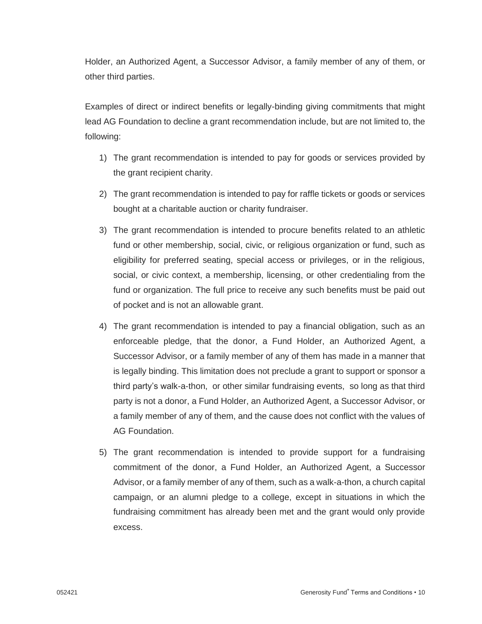Holder, an Authorized Agent, a Successor Advisor, a family member of any of them, or other third parties.

Examples of direct or indirect benefits or legally-binding giving commitments that might lead AG Foundation to decline a grant recommendation include, but are not limited to, the following:

- 1) The grant recommendation is intended to pay for goods or services provided by the grant recipient charity.
- 2) The grant recommendation is intended to pay for raffle tickets or goods or services bought at a charitable auction or charity fundraiser.
- 3) The grant recommendation is intended to procure benefits related to an athletic fund or other membership, social, civic, or religious organization or fund, such as eligibility for preferred seating, special access or privileges, or in the religious, social, or civic context, a membership, licensing, or other credentialing from the fund or organization. The full price to receive any such benefits must be paid out of pocket and is not an allowable grant.
- 4) The grant recommendation is intended to pay a financial obligation, such as an enforceable pledge, that the donor, a Fund Holder, an Authorized Agent, a Successor Advisor, or a family member of any of them has made in a manner that is legally binding. This limitation does not preclude a grant to support or sponsor a third party's walk-a-thon, or other similar fundraising events, so long as that third party is not a donor, a Fund Holder, an Authorized Agent, a Successor Advisor, or a family member of any of them, and the cause does not conflict with the values of AG Foundation.
- 5) The grant recommendation is intended to provide support for a fundraising commitment of the donor, a Fund Holder, an Authorized Agent, a Successor Advisor, or a family member of any of them, such as a walk-a-thon, a church capital campaign, or an alumni pledge to a college, except in situations in which the fundraising commitment has already been met and the grant would only provide excess.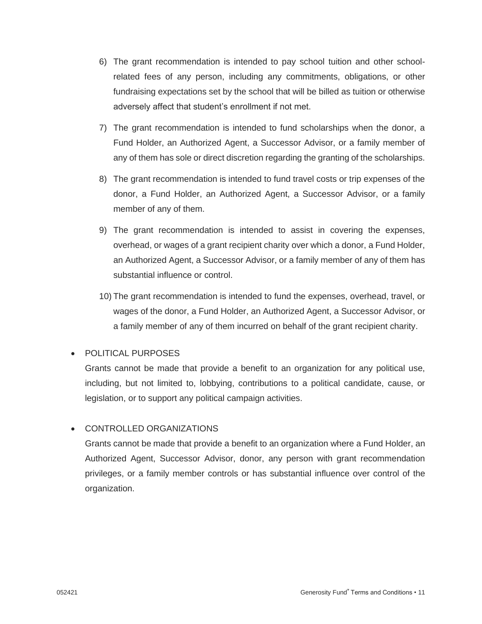- 6) The grant recommendation is intended to pay school tuition and other schoolrelated fees of any person, including any commitments, obligations, or other fundraising expectations set by the school that will be billed as tuition or otherwise adversely affect that student's enrollment if not met.
- 7) The grant recommendation is intended to fund scholarships when the donor, a Fund Holder, an Authorized Agent, a Successor Advisor, or a family member of any of them has sole or direct discretion regarding the granting of the scholarships.
- 8) The grant recommendation is intended to fund travel costs or trip expenses of the donor, a Fund Holder, an Authorized Agent, a Successor Advisor, or a family member of any of them.
- 9) The grant recommendation is intended to assist in covering the expenses, overhead, or wages of a grant recipient charity over which a donor, a Fund Holder, an Authorized Agent, a Successor Advisor, or a family member of any of them has substantial influence or control.
- 10) The grant recommendation is intended to fund the expenses, overhead, travel, or wages of the donor, a Fund Holder, an Authorized Agent, a Successor Advisor, or a family member of any of them incurred on behalf of the grant recipient charity.

## • POLITICAL PURPOSES

Grants cannot be made that provide a benefit to an organization for any political use, including, but not limited to, lobbying, contributions to a political candidate, cause, or legislation, or to support any political campaign activities.

## • CONTROLLED ORGANIZATIONS

Grants cannot be made that provide a benefit to an organization where a Fund Holder, an Authorized Agent, Successor Advisor, donor, any person with grant recommendation privileges, or a family member controls or has substantial influence over control of the organization.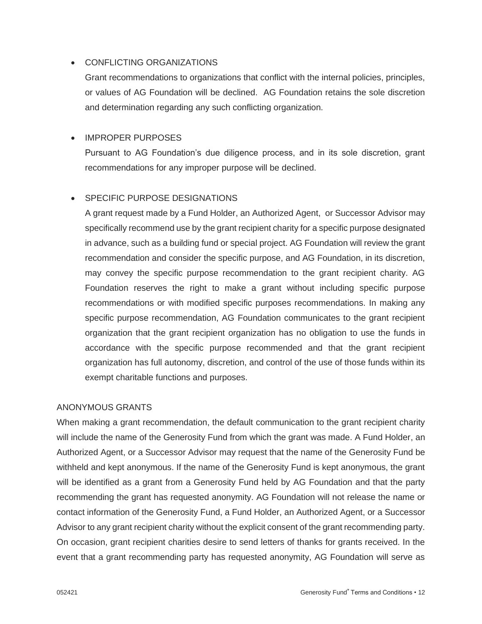## • CONFLICTING ORGANIZATIONS

Grant recommendations to organizations that conflict with the internal policies, principles, or values of AG Foundation will be declined. AG Foundation retains the sole discretion and determination regarding any such conflicting organization.

## • IMPROPER PURPOSES

Pursuant to AG Foundation's due diligence process, and in its sole discretion, grant recommendations for any improper purpose will be declined.

## • SPECIFIC PURPOSE DESIGNATIONS

A grant request made by a Fund Holder, an Authorized Agent, or Successor Advisor may specifically recommend use by the grant recipient charity for a specific purpose designated in advance, such as a building fund or special project. AG Foundation will review the grant recommendation and consider the specific purpose, and AG Foundation, in its discretion, may convey the specific purpose recommendation to the grant recipient charity. AG Foundation reserves the right to make a grant without including specific purpose recommendations or with modified specific purposes recommendations. In making any specific purpose recommendation, AG Foundation communicates to the grant recipient organization that the grant recipient organization has no obligation to use the funds in accordance with the specific purpose recommended and that the grant recipient organization has full autonomy, discretion, and control of the use of those funds within its exempt charitable functions and purposes.

### ANONYMOUS GRANTS

When making a grant recommendation, the default communication to the grant recipient charity will include the name of the Generosity Fund from which the grant was made. A Fund Holder, an Authorized Agent, or a Successor Advisor may request that the name of the Generosity Fund be withheld and kept anonymous. If the name of the Generosity Fund is kept anonymous, the grant will be identified as a grant from a Generosity Fund held by AG Foundation and that the party recommending the grant has requested anonymity. AG Foundation will not release the name or contact information of the Generosity Fund, a Fund Holder, an Authorized Agent, or a Successor Advisor to any grant recipient charity without the explicit consent of the grant recommending party. On occasion, grant recipient charities desire to send letters of thanks for grants received. In the event that a grant recommending party has requested anonymity, AG Foundation will serve as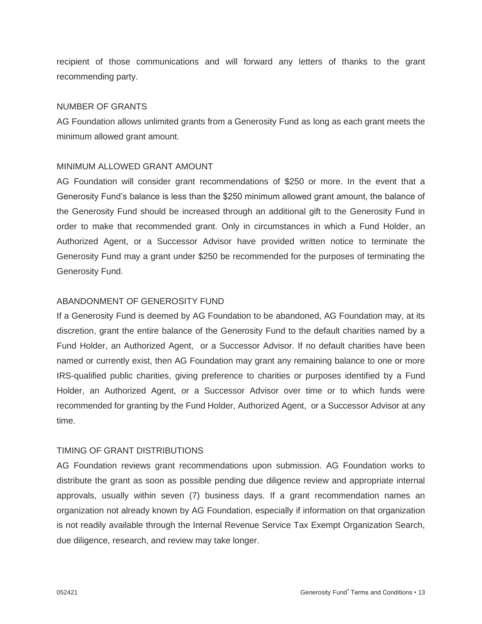recipient of those communications and will forward any letters of thanks to the grant recommending party.

### NUMBER OF GRANTS

AG Foundation allows unlimited grants from a Generosity Fund as long as each grant meets the minimum allowed grant amount.

### MINIMUM ALLOWED GRANT AMOUNT

AG Foundation will consider grant recommendations of \$250 or more. In the event that a Generosity Fund's balance is less than the \$250 minimum allowed grant amount, the balance of the Generosity Fund should be increased through an additional gift to the Generosity Fund in order to make that recommended grant. Only in circumstances in which a Fund Holder, an Authorized Agent, or a Successor Advisor have provided written notice to terminate the Generosity Fund may a grant under \$250 be recommended for the purposes of terminating the Generosity Fund.

### ABANDONMENT OF GENEROSITY FUND

If a Generosity Fund is deemed by AG Foundation to be abandoned, AG Foundation may, at its discretion, grant the entire balance of the Generosity Fund to the default charities named by a Fund Holder, an Authorized Agent, or a Successor Advisor. If no default charities have been named or currently exist, then AG Foundation may grant any remaining balance to one or more IRS-qualified public charities, giving preference to charities or purposes identified by a Fund Holder, an Authorized Agent, or a Successor Advisor over time or to which funds were recommended for granting by the Fund Holder, Authorized Agent, or a Successor Advisor at any time.

### TIMING OF GRANT DISTRIBUTIONS

AG Foundation reviews grant recommendations upon submission. AG Foundation works to distribute the grant as soon as possible pending due diligence review and appropriate internal approvals, usually within seven (7) business days. If a grant recommendation names an organization not already known by AG Foundation, especially if information on that organization is not readily available through the Internal Revenue Service Tax Exempt Organization Search, due diligence, research, and review may take longer.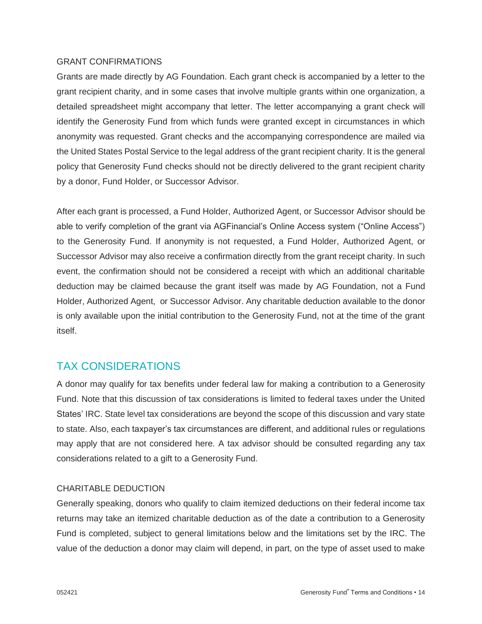#### GRANT CONFIRMATIONS

Grants are made directly by AG Foundation. Each grant check is accompanied by a letter to the grant recipient charity, and in some cases that involve multiple grants within one organization, a detailed spreadsheet might accompany that letter. The letter accompanying a grant check will identify the Generosity Fund from which funds were granted except in circumstances in which anonymity was requested. Grant checks and the accompanying correspondence are mailed via the United States Postal Service to the legal address of the grant recipient charity. It is the general policy that Generosity Fund checks should not be directly delivered to the grant recipient charity by a donor, Fund Holder, or Successor Advisor.

After each grant is processed, a Fund Holder, Authorized Agent, or Successor Advisor should be able to verify completion of the grant via AGFinancial's Online Access system ("Online Access") to the Generosity Fund. If anonymity is not requested, a Fund Holder, Authorized Agent, or Successor Advisor may also receive a confirmation directly from the grant receipt charity. In such event, the confirmation should not be considered a receipt with which an additional charitable deduction may be claimed because the grant itself was made by AG Foundation, not a Fund Holder, Authorized Agent, or Successor Advisor. Any charitable deduction available to the donor is only available upon the initial contribution to the Generosity Fund, not at the time of the grant itself.

## TAX CONSIDERATIONS

A donor may qualify for tax benefits under federal law for making a contribution to a Generosity Fund. Note that this discussion of tax considerations is limited to federal taxes under the United States' IRC. State level tax considerations are beyond the scope of this discussion and vary state to state. Also, each taxpayer's tax circumstances are different, and additional rules or regulations may apply that are not considered here. A tax advisor should be consulted regarding any tax considerations related to a gift to a Generosity Fund.

### CHARITABLE DEDUCTION

Generally speaking, donors who qualify to claim itemized deductions on their federal income tax returns may take an itemized charitable deduction as of the date a contribution to a Generosity Fund is completed, subject to general limitations below and the limitations set by the IRC. The value of the deduction a donor may claim will depend, in part, on the type of asset used to make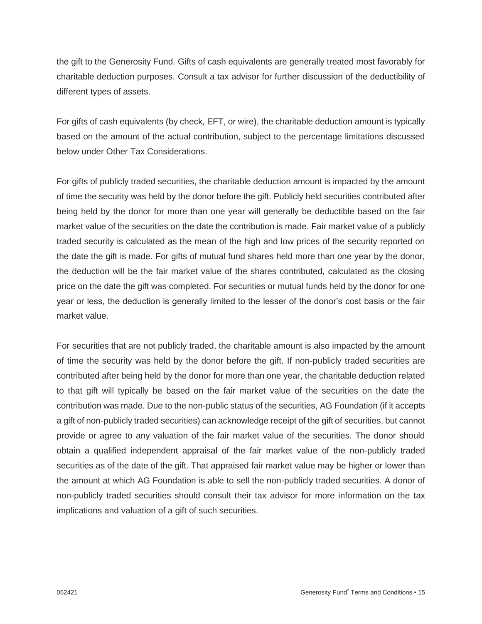the gift to the Generosity Fund. Gifts of cash equivalents are generally treated most favorably for charitable deduction purposes. Consult a tax advisor for further discussion of the deductibility of different types of assets.

For gifts of cash equivalents (by check, EFT, or wire), the charitable deduction amount is typically based on the amount of the actual contribution, subject to the percentage limitations discussed below under Other Tax Considerations.

For gifts of publicly traded securities, the charitable deduction amount is impacted by the amount of time the security was held by the donor before the gift. Publicly held securities contributed after being held by the donor for more than one year will generally be deductible based on the fair market value of the securities on the date the contribution is made. Fair market value of a publicly traded security is calculated as the mean of the high and low prices of the security reported on the date the gift is made. For gifts of mutual fund shares held more than one year by the donor, the deduction will be the fair market value of the shares contributed, calculated as the closing price on the date the gift was completed. For securities or mutual funds held by the donor for one year or less, the deduction is generally limited to the lesser of the donor's cost basis or the fair market value.

For securities that are not publicly traded, the charitable amount is also impacted by the amount of time the security was held by the donor before the gift. If non-publicly traded securities are contributed after being held by the donor for more than one year, the charitable deduction related to that gift will typically be based on the fair market value of the securities on the date the contribution was made. Due to the non-public status of the securities, AG Foundation (if it accepts a gift of non-publicly traded securities) can acknowledge receipt of the gift of securities, but cannot provide or agree to any valuation of the fair market value of the securities. The donor should obtain a qualified independent appraisal of the fair market value of the non-publicly traded securities as of the date of the gift. That appraised fair market value may be higher or lower than the amount at which AG Foundation is able to sell the non-publicly traded securities. A donor of non-publicly traded securities should consult their tax advisor for more information on the tax implications and valuation of a gift of such securities.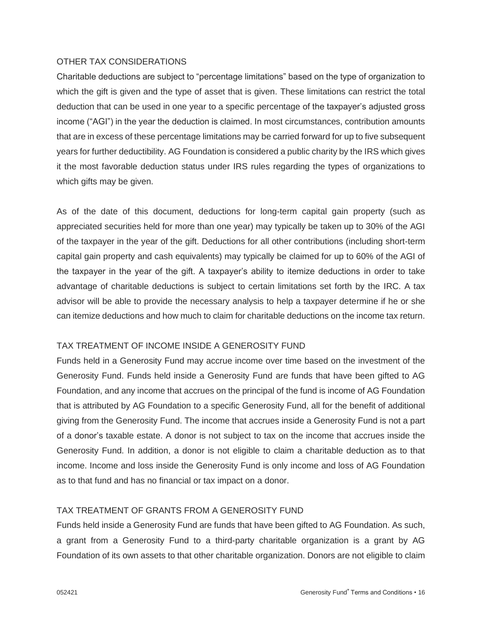## OTHER TAX CONSIDERATIONS

Charitable deductions are subject to "percentage limitations" based on the type of organization to which the gift is given and the type of asset that is given. These limitations can restrict the total deduction that can be used in one year to a specific percentage of the taxpayer's adjusted gross income ("AGI") in the year the deduction is claimed. In most circumstances, contribution amounts that are in excess of these percentage limitations may be carried forward for up to five subsequent years for further deductibility. AG Foundation is considered a public charity by the IRS which gives it the most favorable deduction status under IRS rules regarding the types of organizations to which gifts may be given.

As of the date of this document, deductions for long-term capital gain property (such as appreciated securities held for more than one year) may typically be taken up to 30% of the AGI of the taxpayer in the year of the gift. Deductions for all other contributions (including short-term capital gain property and cash equivalents) may typically be claimed for up to 60% of the AGI of the taxpayer in the year of the gift. A taxpayer's ability to itemize deductions in order to take advantage of charitable deductions is subject to certain limitations set forth by the IRC. A tax advisor will be able to provide the necessary analysis to help a taxpayer determine if he or she can itemize deductions and how much to claim for charitable deductions on the income tax return.

## TAX TREATMENT OF INCOME INSIDE A GENEROSITY FUND

Funds held in a Generosity Fund may accrue income over time based on the investment of the Generosity Fund. Funds held inside a Generosity Fund are funds that have been gifted to AG Foundation, and any income that accrues on the principal of the fund is income of AG Foundation that is attributed by AG Foundation to a specific Generosity Fund, all for the benefit of additional giving from the Generosity Fund. The income that accrues inside a Generosity Fund is not a part of a donor's taxable estate. A donor is not subject to tax on the income that accrues inside the Generosity Fund. In addition, a donor is not eligible to claim a charitable deduction as to that income. Income and loss inside the Generosity Fund is only income and loss of AG Foundation as to that fund and has no financial or tax impact on a donor.

### TAX TREATMENT OF GRANTS FROM A GENEROSITY FUND

Funds held inside a Generosity Fund are funds that have been gifted to AG Foundation. As such, a grant from a Generosity Fund to a third-party charitable organization is a grant by AG Foundation of its own assets to that other charitable organization. Donors are not eligible to claim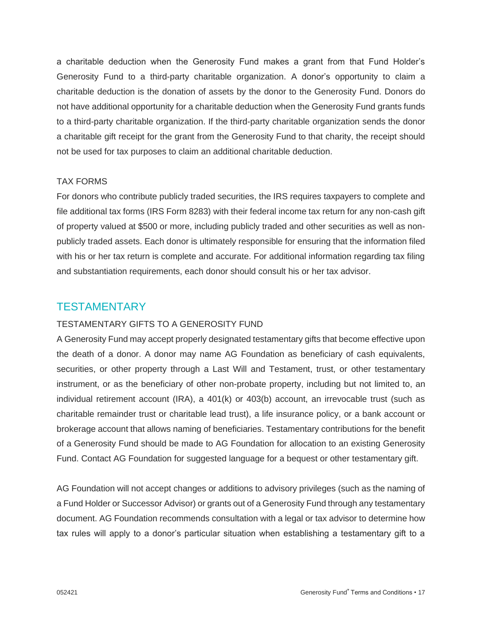a charitable deduction when the Generosity Fund makes a grant from that Fund Holder's Generosity Fund to a third-party charitable organization. A donor's opportunity to claim a charitable deduction is the donation of assets by the donor to the Generosity Fund. Donors do not have additional opportunity for a charitable deduction when the Generosity Fund grants funds to a third-party charitable organization. If the third-party charitable organization sends the donor a charitable gift receipt for the grant from the Generosity Fund to that charity, the receipt should not be used for tax purposes to claim an additional charitable deduction.

### TAX FORMS

For donors who contribute publicly traded securities, the IRS requires taxpayers to complete and file additional tax forms (IRS Form 8283) with their federal income tax return for any non-cash gift of property valued at \$500 or more, including publicly traded and other securities as well as nonpublicly traded assets. Each donor is ultimately responsible for ensuring that the information filed with his or her tax return is complete and accurate. For additional information regarding tax filing and substantiation requirements, each donor should consult his or her tax advisor.

## **TESTAMENTARY**

### TESTAMENTARY GIFTS TO A GENEROSITY FUND

A Generosity Fund may accept properly designated testamentary gifts that become effective upon the death of a donor. A donor may name AG Foundation as beneficiary of cash equivalents, securities, or other property through a Last Will and Testament, trust, or other testamentary instrument, or as the beneficiary of other non-probate property, including but not limited to, an individual retirement account (IRA), a 401(k) or 403(b) account, an irrevocable trust (such as charitable remainder trust or charitable lead trust), a life insurance policy, or a bank account or brokerage account that allows naming of beneficiaries. Testamentary contributions for the benefit of a Generosity Fund should be made to AG Foundation for allocation to an existing Generosity Fund. Contact AG Foundation for suggested language for a bequest or other testamentary gift.

AG Foundation will not accept changes or additions to advisory privileges (such as the naming of a Fund Holder or Successor Advisor) or grants out of a Generosity Fund through any testamentary document. AG Foundation recommends consultation with a legal or tax advisor to determine how tax rules will apply to a donor's particular situation when establishing a testamentary gift to a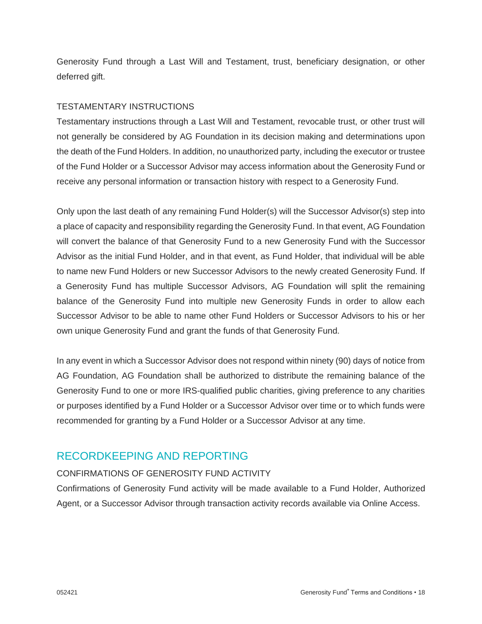Generosity Fund through a Last Will and Testament, trust, beneficiary designation, or other deferred gift.

## TESTAMENTARY INSTRUCTIONS

Testamentary instructions through a Last Will and Testament, revocable trust, or other trust will not generally be considered by AG Foundation in its decision making and determinations upon the death of the Fund Holders. In addition, no unauthorized party, including the executor or trustee of the Fund Holder or a Successor Advisor may access information about the Generosity Fund or receive any personal information or transaction history with respect to a Generosity Fund.

Only upon the last death of any remaining Fund Holder(s) will the Successor Advisor(s) step into a place of capacity and responsibility regarding the Generosity Fund. In that event, AG Foundation will convert the balance of that Generosity Fund to a new Generosity Fund with the Successor Advisor as the initial Fund Holder, and in that event, as Fund Holder, that individual will be able to name new Fund Holders or new Successor Advisors to the newly created Generosity Fund. If a Generosity Fund has multiple Successor Advisors, AG Foundation will split the remaining balance of the Generosity Fund into multiple new Generosity Funds in order to allow each Successor Advisor to be able to name other Fund Holders or Successor Advisors to his or her own unique Generosity Fund and grant the funds of that Generosity Fund.

In any event in which a Successor Advisor does not respond within ninety (90) days of notice from AG Foundation, AG Foundation shall be authorized to distribute the remaining balance of the Generosity Fund to one or more IRS-qualified public charities, giving preference to any charities or purposes identified by a Fund Holder or a Successor Advisor over time or to which funds were recommended for granting by a Fund Holder or a Successor Advisor at any time.

## RECORDKEEPING AND REPORTING

## CONFIRMATIONS OF GENEROSITY FUND ACTIVITY

Confirmations of Generosity Fund activity will be made available to a Fund Holder, Authorized Agent, or a Successor Advisor through transaction activity records available via Online Access.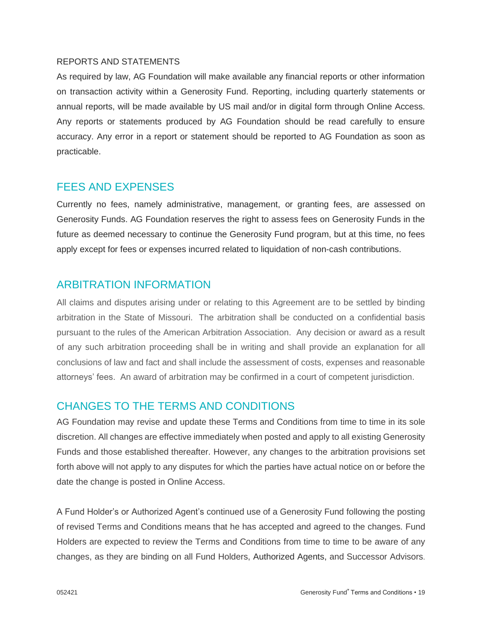### REPORTS AND STATEMENTS

As required by law, AG Foundation will make available any financial reports or other information on transaction activity within a Generosity Fund. Reporting, including quarterly statements or annual reports, will be made available by US mail and/or in digital form through Online Access. Any reports or statements produced by AG Foundation should be read carefully to ensure accuracy. Any error in a report or statement should be reported to AG Foundation as soon as practicable.

## FEES AND EXPENSES

Currently no fees, namely administrative, management, or granting fees, are assessed on Generosity Funds. AG Foundation reserves the right to assess fees on Generosity Funds in the future as deemed necessary to continue the Generosity Fund program, but at this time, no fees apply except for fees or expenses incurred related to liquidation of non-cash contributions.

## ARBITRATION INFORMATION

All claims and disputes arising under or relating to this Agreement are to be settled by binding arbitration in the State of Missouri. The arbitration shall be conducted on a confidential basis pursuant to the rules of the American Arbitration Association. Any decision or award as a result of any such arbitration proceeding shall be in writing and shall provide an explanation for all conclusions of law and fact and shall include the assessment of costs, expenses and reasonable attorneys' fees. An award of arbitration may be confirmed in a court of competent jurisdiction.

## CHANGES TO THE TERMS AND CONDITIONS

AG Foundation may revise and update these Terms and Conditions from time to time in its sole discretion. All changes are effective immediately when posted and apply to all existing Generosity Funds and those established thereafter. However, any changes to the arbitration provisions set forth above will not apply to any disputes for which the parties have actual notice on or before the date the change is posted in Online Access.

A Fund Holder's or Authorized Agent's continued use of a Generosity Fund following the posting of revised Terms and Conditions means that he has accepted and agreed to the changes. Fund Holders are expected to review the Terms and Conditions from time to time to be aware of any changes, as they are binding on all Fund Holders, Authorized Agents, and Successor Advisors.